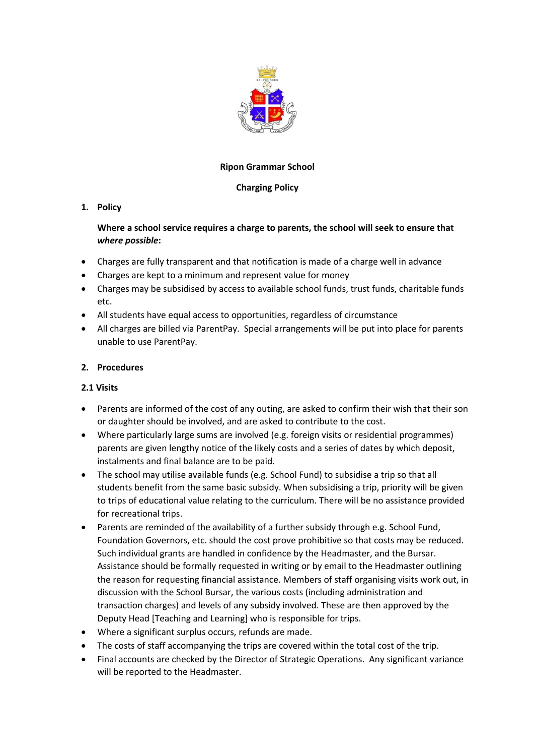

#### **Ripon Grammar School**

# **Charging Policy**

# **1. Policy**

# **Where a school service requires a charge to parents, the school will seek to ensure that** *where possible***:**

- Charges are fully transparent and that notification is made of a charge well in advance
- Charges are kept to a minimum and represent value for money
- Charges may be subsidised by access to available school funds, trust funds, charitable funds etc.
- All students have equal access to opportunities, regardless of circumstance
- All charges are billed via ParentPay. Special arrangements will be put into place for parents unable to use ParentPay.

# **2. Procedures**

#### **2.1 Visits**

- Parents are informed of the cost of any outing, are asked to confirm their wish that their son or daughter should be involved, and are asked to contribute to the cost.
- Where particularly large sums are involved (e.g. foreign visits or residential programmes) parents are given lengthy notice of the likely costs and a series of dates by which deposit, instalments and final balance are to be paid.
- The school may utilise available funds (e.g. School Fund) to subsidise a trip so that all students benefit from the same basic subsidy. When subsidising a trip, priority will be given to trips of educational value relating to the curriculum. There will be no assistance provided for recreational trips.
- Parents are reminded of the availability of a further subsidy through e.g. School Fund, Foundation Governors, etc. should the cost prove prohibitive so that costs may be reduced. Such individual grants are handled in confidence by the Headmaster, and the Bursar. Assistance should be formally requested in writing or by email to the Headmaster outlining the reason for requesting financial assistance. Members of staff organising visits work out, in discussion with the School Bursar, the various costs (including administration and transaction charges) and levels of any subsidy involved. These are then approved by the Deputy Head [Teaching and Learning] who is responsible for trips.
- Where a significant surplus occurs, refunds are made.
- The costs of staff accompanying the trips are covered within the total cost of the trip.
- Final accounts are checked by the Director of Strategic Operations. Any significant variance will be reported to the Headmaster.